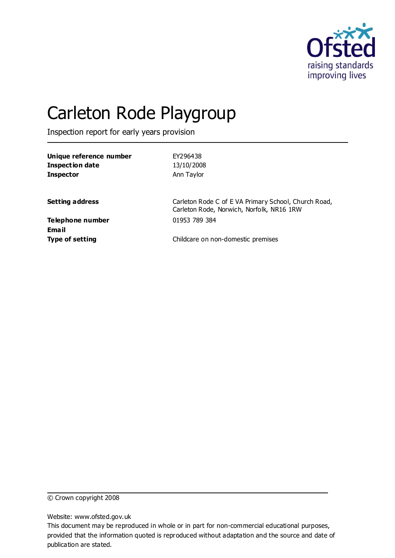

# Carleton Rode Playgroup

Inspection report for early years provision

| Unique reference number<br><b>Inspection date</b><br><b>Inspector</b> | EY296438<br>13/10/2008<br>Ann Taylor                                                              |
|-----------------------------------------------------------------------|---------------------------------------------------------------------------------------------------|
| <b>Setting address</b>                                                | Carleton Rode C of E VA Primary School, Church Road,<br>Carleton Rode, Norwich, Norfolk, NR16 1RW |
| Telephone number<br>Email                                             | 01953 789 384                                                                                     |
| <b>Type of setting</b>                                                | Childcare on non-domestic premises                                                                |

© Crown copyright 2008

Website: www.ofsted.gov.uk

This document may be reproduced in whole or in part for non-commercial educational purposes, provided that the information quoted is reproduced without adaptation and the source and date of publication are stated.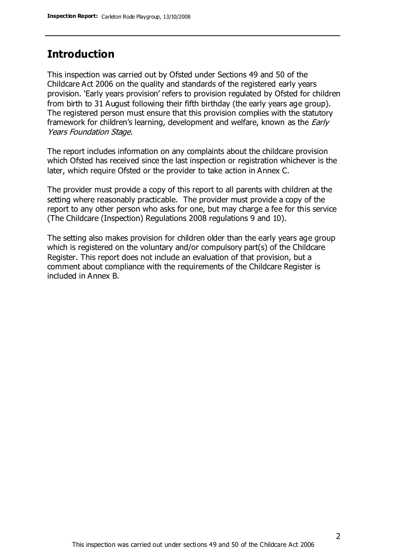### **Introduction**

This inspection was carried out by Ofsted under Sections 49 and 50 of the Childcare Act 2006 on the quality and standards of the registered early years provision. 'Early years provision' refers to provision regulated by Ofsted for children from birth to 31 August following their fifth birthday (the early years age group). The registered person must ensure that this provision complies with the statutory framework for children's learning, development and welfare, known as the *Early* Years Foundation Stage.

The report includes information on any complaints about the childcare provision which Ofsted has received since the last inspection or registration whichever is the later, which require Ofsted or the provider to take action in Annex C.

The provider must provide a copy of this report to all parents with children at the setting where reasonably practicable. The provider must provide a copy of the report to any other person who asks for one, but may charge a fee for this service (The Childcare (Inspection) Regulations 2008 regulations 9 and 10).

The setting also makes provision for children older than the early years age group which is registered on the voluntary and/or compulsory part(s) of the Childcare Register. This report does not include an evaluation of that provision, but a comment about compliance with the requirements of the Childcare Register is included in Annex B.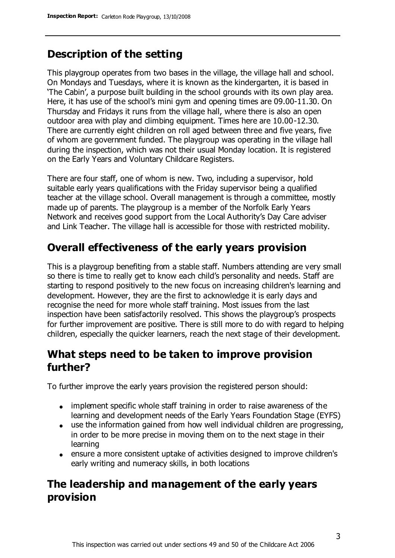# **Description of the setting**

This playgroup operates from two bases in the village, the village hall and school. On Mondays and Tuesdays, where it is known as the kindergarten, it is based in 'The Cabin', a purpose built building in the school grounds with its own play area. Here, it has use of the school's mini gym and opening times are 09.00-11.30. On Thursday and Fridays it runs from the village hall, where there is also an open outdoor area with play and climbing equipment. Times here are 10.00-12.30. There are currently eight children on roll aged between three and five years, five of whom are government funded. The playgroup was operating in the village hall during the inspection, which was not their usual Monday location. It is registered on the Early Years and Voluntary Childcare Registers.

There are four staff, one of whom is new. Two, including a supervisor, hold suitable early years qualifications with the Friday supervisor being a qualified teacher at the village school. Overall management is through a committee, mostly made up of parents. The playgroup is a member of the Norfolk Early Years Network and receives good support from the Local Authority's Day Care adviser and Link Teacher. The village hall is accessible for those with restricted mobility.

### **Overall effectiveness of the early years provision**

This is a playgroup benefiting from a stable staff. Numbers attending are very small so there is time to really get to know each child's personality and needs. Staff are starting to respond positively to the new focus on increasing children's learning and development. However, they are the first to acknowledge it is early days and recognise the need for more whole staff training. Most issues from the last inspection have been satisfactorily resolved. This shows the playgroup's prospects for further improvement are positive. There is still more to do with regard to helping children, especially the quicker learners, reach the next stage of their development.

### **What steps need to be taken to improve provision further?**

To further improve the early years provision the registered person should:

- implement specific whole staff training in order to raise awareness of the learning and development needs of the Early Years Foundation Stage (EYFS)
- use the information gained from how well individual children are progressing, in order to be more precise in moving them on to the next stage in their learning
- ensure a more consistent uptake of activities designed to improve children's early writing and numeracy skills, in both locations

### **The leadership and management of the early years provision**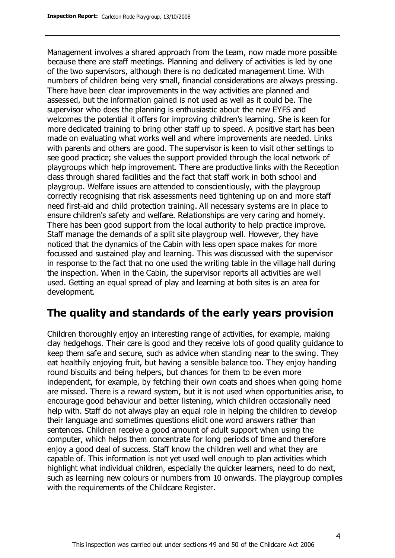Management involves a shared approach from the team, now made more possible because there are staff meetings. Planning and delivery of activities is led by one of the two supervisors, although there is no dedicated management time. With numbers of children being very small, financial considerations are always pressing. There have been clear improvements in the way activities are planned and assessed, but the information gained is not used as well as it could be. The supervisor who does the planning is enthusiastic about the new EYFS and welcomes the potential it offers for improving children's learning. She is keen for more dedicated training to bring other staff up to speed. A positive start has been made on evaluating what works well and where improvements are needed. Links with parents and others are good. The supervisor is keen to visit other settings to see good practice; she values the support provided through the local network of playgroups which help improvement. There are productive links with the Reception class through shared facilities and the fact that staff work in both school and playgroup. Welfare issues are attended to conscientiously, with the playgroup correctly recognising that risk assessments need tightening up on and more staff need first-aid and child protection training. All necessary systems are in place to ensure children's safety and welfare. Relationships are very caring and homely. There has been good support from the local authority to help practice improve. Staff manage the demands of a split site playgroup well. However, they have noticed that the dynamics of the Cabin with less open space makes for more focussed and sustained play and learning. This was discussed with the supervisor in response to the fact that no one used the writing table in the village hall during the inspection. When in the Cabin, the supervisor reports all activities are well used. Getting an equal spread of play and learning at both sites is an area for development.

### **The quality and standards of the early years provision**

Children thoroughly enjoy an interesting range of activities, for example, making clay hedgehogs. Their care is good and they receive lots of good quality guidance to keep them safe and secure, such as advice when standing near to the swing. They eat healthily enjoying fruit, but having a sensible balance too. They enjoy handing round biscuits and being helpers, but chances for them to be even more independent, for example, by fetching their own coats and shoes when going home are missed. There is a reward system, but it is not used when opportunities arise, to encourage good behaviour and better listening, which children occasionally need help with. Staff do not always play an equal role in helping the children to develop their language and sometimes questions elicit one word answers rather than sentences. Children receive a good amount of adult support when using the computer, which helps them concentrate for long periods of time and therefore enjoy a good deal of success. Staff know the children well and what they are capable of. This information is not yet used well enough to plan activities which highlight what individual children, especially the quicker learners, need to do next, such as learning new colours or numbers from 10 onwards. The playgroup complies with the requirements of the Childcare Register.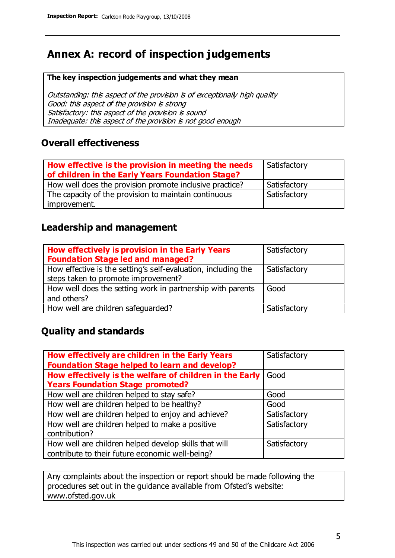### **Annex A: record of inspection judgements**

#### **The key inspection judgements and what they mean**

Outstanding: this aspect of the provision is of exceptionally high quality Good: this aspect of the provision is strong Satisfactory: this aspect of the provision is sound Inadequate: this aspect of the provision is not good enough

### **Overall effectiveness**

| How effective is the provision in meeting the needs<br>of children in the Early Years Foundation Stage? | Satisfactory |
|---------------------------------------------------------------------------------------------------------|--------------|
| How well does the provision promote inclusive practice?                                                 | Satisfactory |
| The capacity of the provision to maintain continuous                                                    | Satisfactory |
| improvement.                                                                                            |              |

### **Leadership and management**

| How effectively is provision in the Early Years<br><b>Foundation Stage led and managed?</b>          | Satisfactory |
|------------------------------------------------------------------------------------------------------|--------------|
| How effective is the setting's self-evaluation, including the<br>steps taken to promote improvement? | Satisfactory |
| How well does the setting work in partnership with parents<br>and others?                            | Good         |
| How well are children safeguarded?                                                                   | Satisfactory |

### **Quality and standards**

| How effectively are children in the Early Years         | Satisfactory |
|---------------------------------------------------------|--------------|
| <b>Foundation Stage helped to learn and develop?</b>    |              |
| How effectively is the welfare of children in the Early | Good         |
| <b>Years Foundation Stage promoted?</b>                 |              |
| How well are children helped to stay safe?              | Good         |
| How well are children helped to be healthy?             | Good         |
| How well are children helped to enjoy and achieve?      | Satisfactory |
| How well are children helped to make a positive         | Satisfactory |
| contribution?                                           |              |
| How well are children helped develop skills that will   | Satisfactory |
| contribute to their future economic well-being?         |              |

Any complaints about the inspection or report should be made following the procedures set out in the guidance available from Ofsted's website: www.ofsted.gov.uk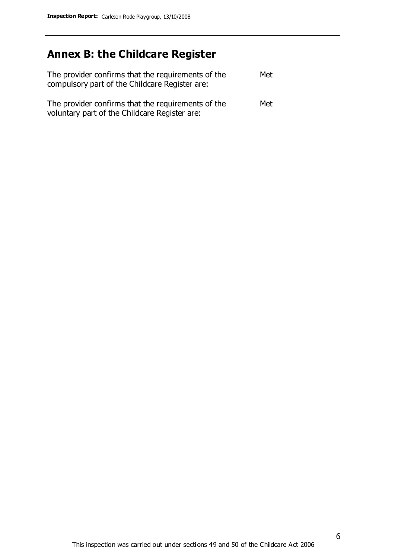# **Annex B: the Childcare Register**

| The provider confirms that the requirements of the<br>compulsory part of the Childcare Register are: | Met |
|------------------------------------------------------------------------------------------------------|-----|
| The provider confirms that the requirements of the<br>voluntary part of the Childcare Register are:  | Met |